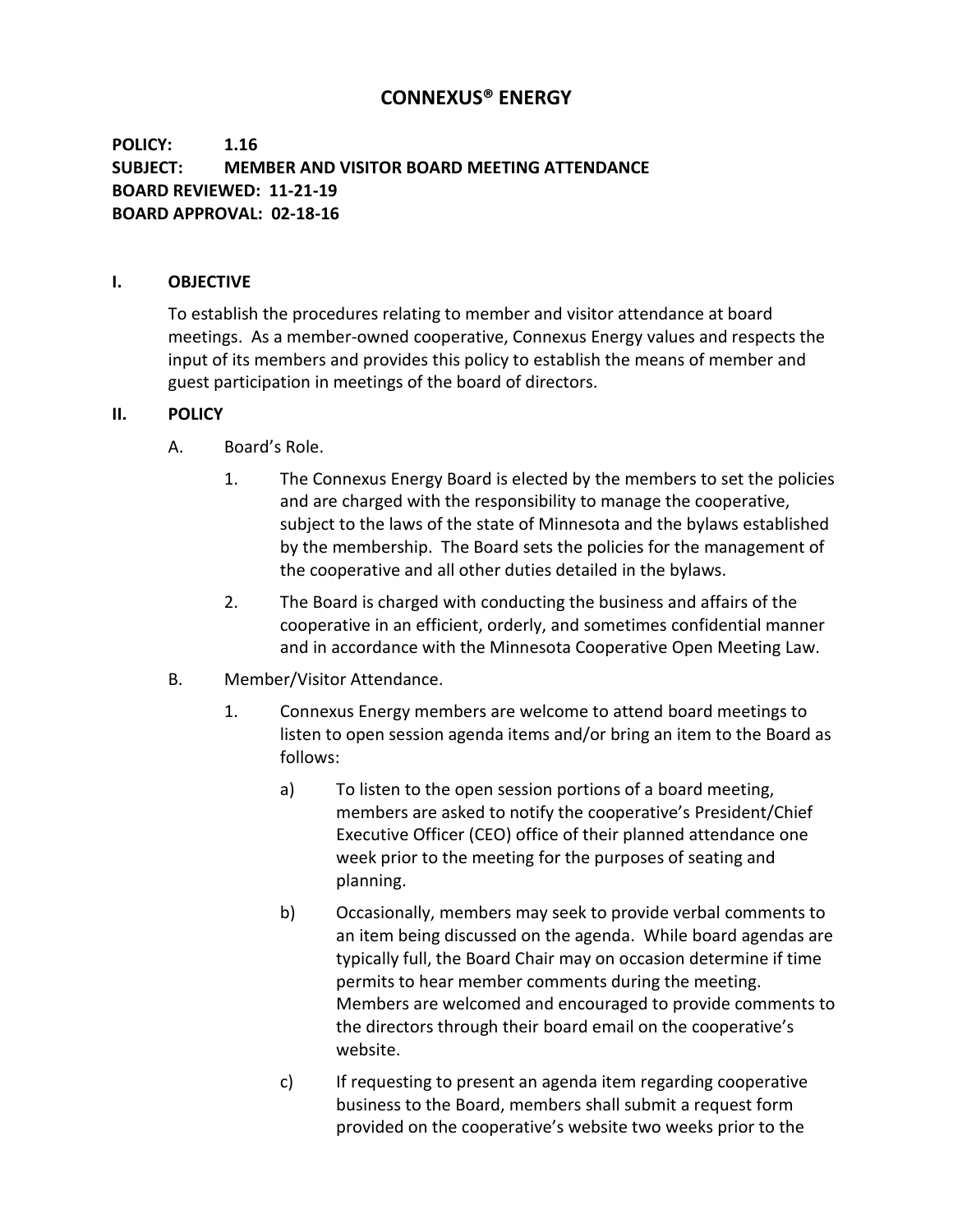# **CONNEXUS® ENERGY**

## **POLICY: 1.16 SUBJECT: MEMBER AND VISITOR BOARD MEETING ATTENDANCE BOARD REVIEWED: 11-21-19 BOARD APPROVAL: 02-18-16**

#### **I. OBJECTIVE**

To establish the procedures relating to member and visitor attendance at board meetings. As a member-owned cooperative, Connexus Energy values and respects the input of its members and provides this policy to establish the means of member and guest participation in meetings of the board of directors.

#### **II. POLICY**

- A. Board's Role.
	- 1. The Connexus Energy Board is elected by the members to set the policies and are charged with the responsibility to manage the cooperative, subject to the laws of the state of Minnesota and the bylaws established by the membership. The Board sets the policies for the management of the cooperative and all other duties detailed in the bylaws.
	- 2. The Board is charged with conducting the business and affairs of the cooperative in an efficient, orderly, and sometimes confidential manner and in accordance with the Minnesota Cooperative Open Meeting Law.
- B. Member/Visitor Attendance.
	- 1. Connexus Energy members are welcome to attend board meetings to listen to open session agenda items and/or bring an item to the Board as follows:
		- a) To listen to the open session portions of a board meeting, members are asked to notify the cooperative's President/Chief Executive Officer (CEO) office of their planned attendance one week prior to the meeting for the purposes of seating and planning.
		- b) Occasionally, members may seek to provide verbal comments to an item being discussed on the agenda. While board agendas are typically full, the Board Chair may on occasion determine if time permits to hear member comments during the meeting. Members are welcomed and encouraged to provide comments to the directors through their board email on the cooperative's website.
		- c) If requesting to present an agenda item regarding cooperative business to the Board, members shall submit a request form provided on the cooperative's website two weeks prior to the